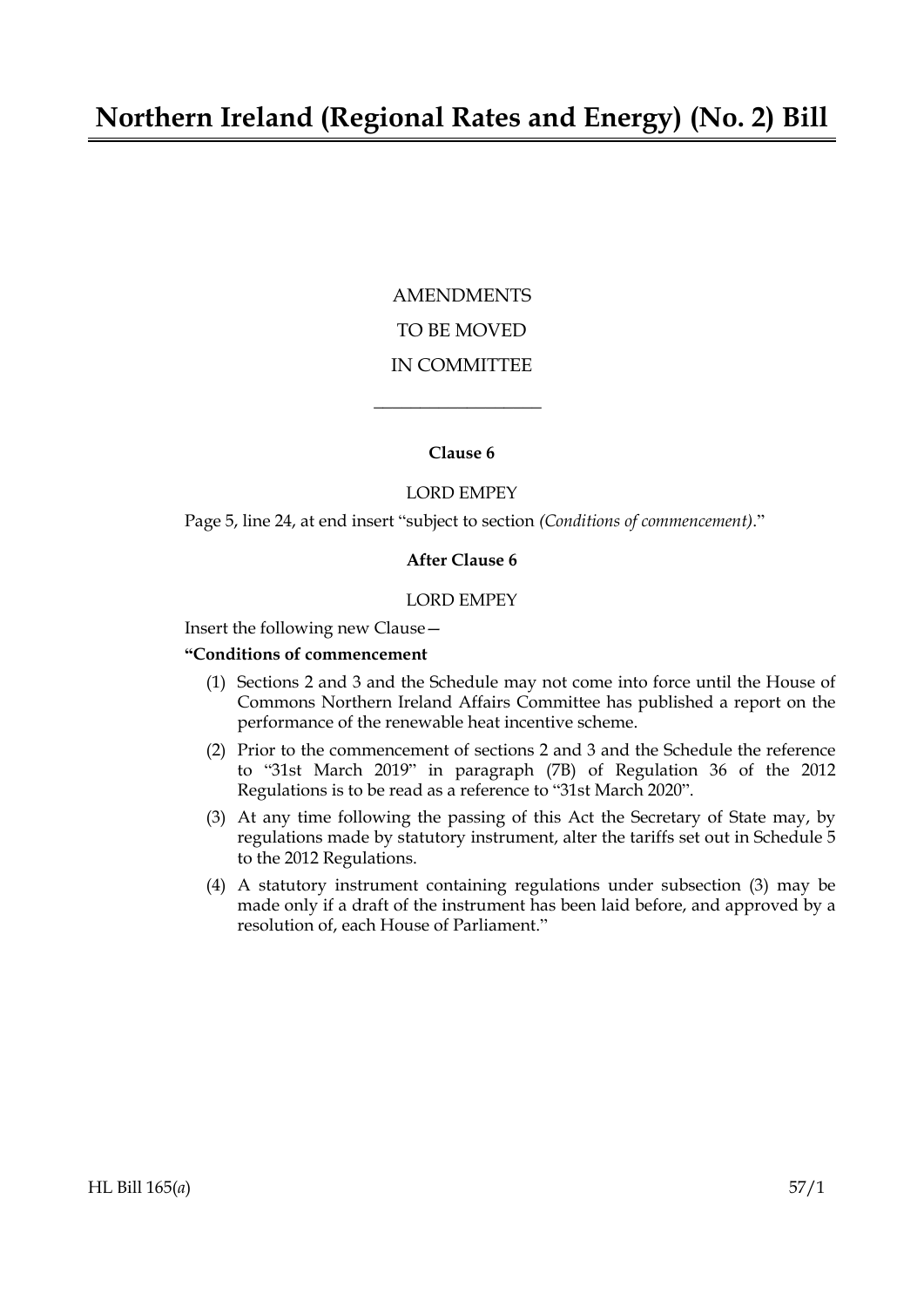# AMENDMENTS TO BE MOVED IN COMMITTEE

#### **Clause 6**

 $\overline{\phantom{a}}$  , where  $\overline{\phantom{a}}$ 

## LORD EMPEY

Page 5, line 24, at end insert "subject to section *(Conditions of commencement)*."

#### **After Clause 6**

#### LORD EMPEY

Insert the following new Clause—

### **"Conditions of commencement**

- (1) Sections 2 and 3 and the Schedule may not come into force until the House of Commons Northern Ireland Affairs Committee has published a report on the performance of the renewable heat incentive scheme.
- (2) Prior to the commencement of sections 2 and 3 and the Schedule the reference to "31st March 2019" in paragraph (7B) of Regulation 36 of the 2012 Regulations is to be read as a reference to "31st March 2020".
- (3) At any time following the passing of this Act the Secretary of State may, by regulations made by statutory instrument, alter the tariffs set out in Schedule 5 to the 2012 Regulations.
- (4) A statutory instrument containing regulations under subsection (3) may be made only if a draft of the instrument has been laid before, and approved by a resolution of, each House of Parliament."